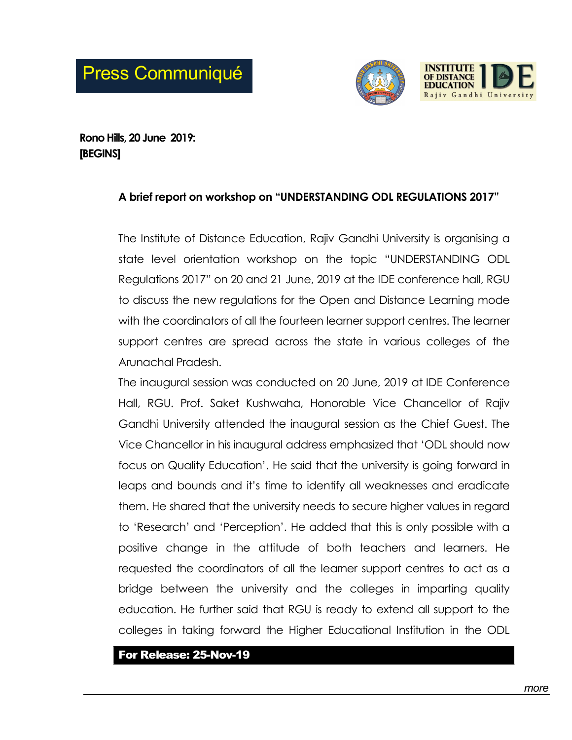

Rono Hills, 20 June 2019: [BEGINS]

## A brief report on workshop on "UNDERSTANDING ODL REGULATIONS 2017"

The Institute of Distance Education, Rajiv Gandhi University is organising a state level orientation workshop on the topic "UNDERSTANDING ODL Regulations 2017" on 20 and 21 June, 2019 at the IDE conference hall, RGU to discuss the new regulations for the Open and Distance Learning mode with the coordinators of all the fourteen learner support centres. The learner support centres are spread across the state in various colleges of the Arunachal Pradesh.

The inaugural session was conducted on 20 June, 2019 at IDE Conference Hall, RGU. Prof. Saket Kushwaha, Honorable Vice Chancellor of Rajiv Gandhi University attended the inaugural session as the Chief Guest. The Vice Chancellor in his inaugural address emphasized that 'ODL should now focus on Quality Education'. He said that the university is going forward in leaps and bounds and it's time to identify all weaknesses and eradicate them. He shared that the university needs to secure higher values in regard to 'Research' and 'Perception'. He added that this is only possible with a positive change in the attitude of both teachers and learners. He requested the coordinators of all the learner support centres to act as a bridge between the university and the colleges in imparting quality education. He further said that RGU is ready to extend all support to the colleges in taking forward the Higher Educational Institution in the ODL

For Release: 25-Nov-19